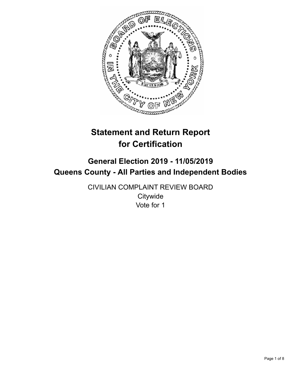

# **Statement and Return Report for Certification**

# **General Election 2019 - 11/05/2019 Queens County - All Parties and Independent Bodies**

CIVILIAN COMPLAINT REVIEW BOARD **Citywide** Vote for 1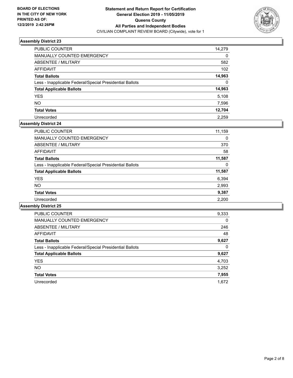

| PUBLIC COUNTER                                           | 14,279 |
|----------------------------------------------------------|--------|
| MANUALLY COUNTED EMERGENCY                               | 0      |
| ABSENTEE / MILITARY                                      | 582    |
| AFFIDAVIT                                                | 102    |
| <b>Total Ballots</b>                                     | 14,963 |
| Less - Inapplicable Federal/Special Presidential Ballots | 0      |
| <b>Total Applicable Ballots</b>                          | 14,963 |
| <b>YES</b>                                               | 5.108  |
| <b>NO</b>                                                | 7,596  |
| <b>Total Votes</b>                                       | 12,704 |
| Unrecorded                                               | 2.259  |

## **Assembly District 24**

| <b>PUBLIC COUNTER</b>                                    | 11,159 |
|----------------------------------------------------------|--------|
| <b>MANUALLY COUNTED EMERGENCY</b>                        | 0      |
| ABSENTEE / MILITARY                                      | 370    |
| AFFIDAVIT                                                | 58     |
| <b>Total Ballots</b>                                     | 11,587 |
| Less - Inapplicable Federal/Special Presidential Ballots | 0      |
| <b>Total Applicable Ballots</b>                          | 11,587 |
| <b>YES</b>                                               | 6,394  |
| <b>NO</b>                                                | 2,993  |
| <b>Total Votes</b>                                       | 9,387  |
| Unrecorded                                               | 2.200  |

| <b>PUBLIC COUNTER</b>                                    | 9,333    |
|----------------------------------------------------------|----------|
| <b>MANUALLY COUNTED EMERGENCY</b>                        | $\Omega$ |
| ABSENTEE / MILITARY                                      | 246      |
| <b>AFFIDAVIT</b>                                         | 48       |
| <b>Total Ballots</b>                                     | 9,627    |
| Less - Inapplicable Federal/Special Presidential Ballots | 0        |
| <b>Total Applicable Ballots</b>                          | 9,627    |
| <b>YES</b>                                               | 4,703    |
| NO.                                                      | 3,252    |
| <b>Total Votes</b>                                       | 7,955    |
| Unrecorded                                               | 1.672    |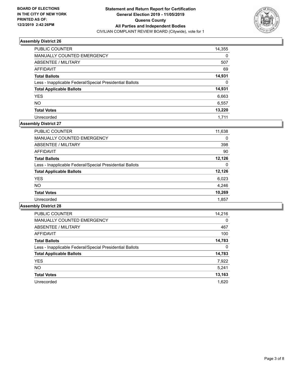

| PUBLIC COUNTER                                           | 14,355 |
|----------------------------------------------------------|--------|
| <b>MANUALLY COUNTED EMERGENCY</b>                        | 0      |
| ABSENTEE / MILITARY                                      | 507    |
| AFFIDAVIT                                                | 69     |
| <b>Total Ballots</b>                                     | 14,931 |
| Less - Inapplicable Federal/Special Presidential Ballots | 0      |
| <b>Total Applicable Ballots</b>                          | 14,931 |
| <b>YES</b>                                               | 6,663  |
| <b>NO</b>                                                | 6,557  |
| <b>Total Votes</b>                                       | 13,220 |
| Unrecorded                                               | 1.711  |

# **Assembly District 27**

| PUBLIC COUNTER                                           | 11,638 |
|----------------------------------------------------------|--------|
| <b>MANUALLY COUNTED EMERGENCY</b>                        | 0      |
| ABSENTEE / MILITARY                                      | 398    |
| AFFIDAVIT                                                | 90     |
| <b>Total Ballots</b>                                     | 12,126 |
| Less - Inapplicable Federal/Special Presidential Ballots | 0      |
| <b>Total Applicable Ballots</b>                          | 12,126 |
| <b>YES</b>                                               | 6,023  |
| NO.                                                      | 4,246  |
| <b>Total Votes</b>                                       | 10,269 |
| Unrecorded                                               | 1,857  |

| <b>PUBLIC COUNTER</b>                                    | 14,216   |
|----------------------------------------------------------|----------|
| <b>MANUALLY COUNTED EMERGENCY</b>                        | $\Omega$ |
| ABSENTEE / MILITARY                                      | 467      |
| <b>AFFIDAVIT</b>                                         | 100      |
| <b>Total Ballots</b>                                     | 14,783   |
| Less - Inapplicable Federal/Special Presidential Ballots | 0        |
| <b>Total Applicable Ballots</b>                          | 14,783   |
| <b>YES</b>                                               | 7,922    |
| NO.                                                      | 5,241    |
| <b>Total Votes</b>                                       | 13,163   |
| Unrecorded                                               | 1.620    |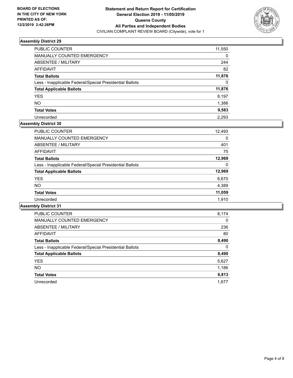

| <b>PUBLIC COUNTER</b>                                    | 11,550   |
|----------------------------------------------------------|----------|
| <b>MANUALLY COUNTED EMERGENCY</b>                        | 0        |
| ABSENTEE / MILITARY                                      | 244      |
| AFFIDAVIT                                                | 82       |
| <b>Total Ballots</b>                                     | 11,876   |
| Less - Inapplicable Federal/Special Presidential Ballots | $\Omega$ |
| <b>Total Applicable Ballots</b>                          | 11,876   |
| <b>YES</b>                                               | 8,197    |
| <b>NO</b>                                                | 1,386    |
| <b>Total Votes</b>                                       | 9,583    |
| Unrecorded                                               | 2.293    |

# **Assembly District 30**

| <b>PUBLIC COUNTER</b>                                    | 12,493   |
|----------------------------------------------------------|----------|
| <b>MANUALLY COUNTED EMERGENCY</b>                        | $\Omega$ |
| ABSENTEE / MILITARY                                      | 401      |
| AFFIDAVIT                                                | 75       |
| <b>Total Ballots</b>                                     | 12,969   |
| Less - Inapplicable Federal/Special Presidential Ballots | $\Omega$ |
| <b>Total Applicable Ballots</b>                          | 12,969   |
| <b>YES</b>                                               | 6,670    |
| <b>NO</b>                                                | 4,389    |
| <b>Total Votes</b>                                       | 11,059   |
| Unrecorded                                               | 1.910    |

| <b>PUBLIC COUNTER</b>                                    | 8,174    |
|----------------------------------------------------------|----------|
| <b>MANUALLY COUNTED EMERGENCY</b>                        | $\Omega$ |
| ABSENTEE / MILITARY                                      | 236      |
| AFFIDAVIT                                                | 80       |
| <b>Total Ballots</b>                                     | 8,490    |
| Less - Inapplicable Federal/Special Presidential Ballots | 0        |
| <b>Total Applicable Ballots</b>                          | 8,490    |
| <b>YES</b>                                               | 5,627    |
| N <sub>O</sub>                                           | 1,186    |
| <b>Total Votes</b>                                       | 6,813    |
| Unrecorded                                               | 1.677    |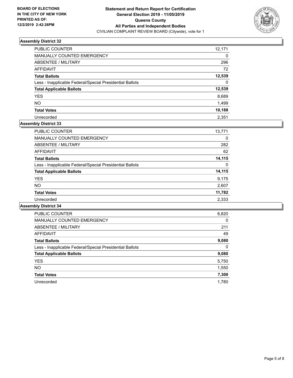

| <b>PUBLIC COUNTER</b>                                    | 12,171   |
|----------------------------------------------------------|----------|
| MANUALLY COUNTED EMERGENCY                               | 0        |
| ABSENTEE / MILITARY                                      | 296      |
| AFFIDAVIT                                                | 72       |
| <b>Total Ballots</b>                                     | 12,539   |
| Less - Inapplicable Federal/Special Presidential Ballots | $\Omega$ |
| <b>Total Applicable Ballots</b>                          | 12,539   |
| <b>YES</b>                                               | 8,689    |
| <b>NO</b>                                                | 1,499    |
| <b>Total Votes</b>                                       | 10,188   |
| Unrecorded                                               | 2.351    |

## **Assembly District 33**

| <b>PUBLIC COUNTER</b>                                    | 13,771 |
|----------------------------------------------------------|--------|
| <b>MANUALLY COUNTED EMERGENCY</b>                        | 0      |
| ABSENTEE / MILITARY                                      | 282    |
| AFFIDAVIT                                                | 62     |
| <b>Total Ballots</b>                                     | 14,115 |
| Less - Inapplicable Federal/Special Presidential Ballots | 0      |
| <b>Total Applicable Ballots</b>                          | 14,115 |
| <b>YES</b>                                               | 9,175  |
| <b>NO</b>                                                | 2,607  |
| <b>Total Votes</b>                                       | 11,782 |
| Unrecorded                                               | 2,333  |

| <b>PUBLIC COUNTER</b>                                    | 8,820    |
|----------------------------------------------------------|----------|
| <b>MANUALLY COUNTED EMERGENCY</b>                        | $\Omega$ |
| ABSENTEE / MILITARY                                      | 211      |
| <b>AFFIDAVIT</b>                                         | 49       |
| <b>Total Ballots</b>                                     | 9,080    |
| Less - Inapplicable Federal/Special Presidential Ballots | $\Omega$ |
| <b>Total Applicable Ballots</b>                          | 9,080    |
| <b>YES</b>                                               | 5,750    |
| NO.                                                      | 1,550    |
| <b>Total Votes</b>                                       | 7,300    |
| Unrecorded                                               | 1.780    |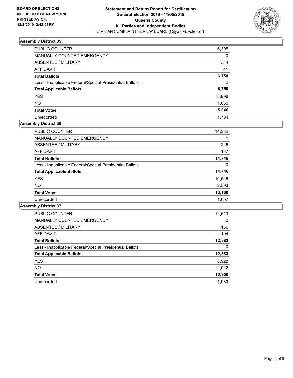

| <b>PUBLIC COUNTER</b>                                    | 6,395    |
|----------------------------------------------------------|----------|
| <b>MANUALLY COUNTED EMERGENCY</b>                        | $\Omega$ |
| ABSENTEE / MILITARY                                      | 314      |
| AFFIDAVIT                                                | 41       |
| <b>Total Ballots</b>                                     | 6,750    |
| Less - Inapplicable Federal/Special Presidential Ballots | 0        |
| <b>Total Applicable Ballots</b>                          | 6,750    |
| <b>YES</b>                                               | 3,996    |
| <b>NO</b>                                                | 1,050    |
| <b>Total Votes</b>                                       | 5,046    |
| Unrecorded                                               | 1.704    |

# **Assembly District 36**

| PUBLIC COUNTER                                           | 14,382 |
|----------------------------------------------------------|--------|
| MANUALLY COUNTED EMERGENCY                               |        |
| ABSENTEE / MILITARY                                      | 226    |
| AFFIDAVIT                                                | 137    |
| <b>Total Ballots</b>                                     | 14,746 |
| Less - Inapplicable Federal/Special Presidential Ballots | 0      |
| <b>Total Applicable Ballots</b>                          | 14,746 |
| <b>YES</b>                                               | 10,546 |
| <b>NO</b>                                                | 2,593  |
| <b>Total Votes</b>                                       | 13,139 |
| Unrecorded                                               | 1,607  |

| <b>PUBLIC COUNTER</b>                                    | 12,613   |
|----------------------------------------------------------|----------|
| <b>MANUALLY COUNTED EMERGENCY</b>                        | $\Omega$ |
| ABSENTEE / MILITARY                                      | 166      |
| <b>AFFIDAVIT</b>                                         | 104      |
| <b>Total Ballots</b>                                     | 12,883   |
| Less - Inapplicable Federal/Special Presidential Ballots | 0        |
| <b>Total Applicable Ballots</b>                          | 12,883   |
| <b>YES</b>                                               | 8,928    |
| NO.                                                      | 2,022    |
| <b>Total Votes</b>                                       | 10,950   |
| Unrecorded                                               | 1.933    |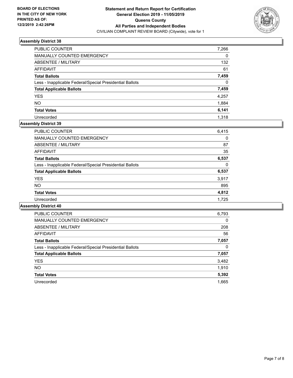

| PUBLIC COUNTER                                           | 7,266    |
|----------------------------------------------------------|----------|
| <b>MANUALLY COUNTED EMERGENCY</b>                        | $\Omega$ |
| ABSENTEE / MILITARY                                      | 132      |
| AFFIDAVIT                                                | 61       |
| <b>Total Ballots</b>                                     | 7,459    |
| Less - Inapplicable Federal/Special Presidential Ballots | $\Omega$ |
| <b>Total Applicable Ballots</b>                          | 7,459    |
| <b>YES</b>                                               | 4,257    |
| <b>NO</b>                                                | 1,884    |
| <b>Total Votes</b>                                       | 6,141    |
| Unrecorded                                               | 1.318    |

# **Assembly District 39**

| <b>PUBLIC COUNTER</b>                                    | 6.415 |
|----------------------------------------------------------|-------|
| <b>MANUALLY COUNTED EMERGENCY</b>                        | 0     |
| ABSENTEE / MILITARY                                      | 87    |
| AFFIDAVIT                                                | 35    |
| <b>Total Ballots</b>                                     | 6,537 |
| Less - Inapplicable Federal/Special Presidential Ballots | 0     |
| <b>Total Applicable Ballots</b>                          | 6,537 |
| <b>YES</b>                                               | 3,917 |
| NO.                                                      | 895   |
| <b>Total Votes</b>                                       | 4,812 |
| Unrecorded                                               | 1.725 |

| <b>PUBLIC COUNTER</b>                                    | 6,793    |
|----------------------------------------------------------|----------|
| <b>MANUALLY COUNTED EMERGENCY</b>                        | $\Omega$ |
| ABSENTEE / MILITARY                                      | 208      |
| <b>AFFIDAVIT</b>                                         | 56       |
| <b>Total Ballots</b>                                     | 7,057    |
| Less - Inapplicable Federal/Special Presidential Ballots | 0        |
| <b>Total Applicable Ballots</b>                          | 7,057    |
| <b>YES</b>                                               | 3,482    |
| <b>NO</b>                                                | 1,910    |
| <b>Total Votes</b>                                       | 5,392    |
| Unrecorded                                               | 1.665    |